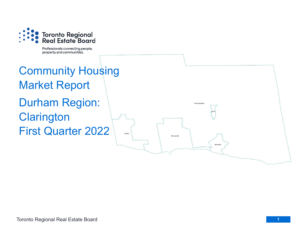

Professionals connecting people, property and communities.

# Community Housing Market Report Durham Region: **Clarington** First Quarter 2022

Courtice

Rural Clarington

Newcastle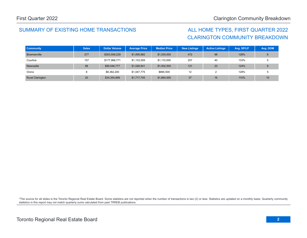## SUMMARY OF EXISTING HOME TRANSACTIONS ALL HOME TYPES, FIRST QUARTER 2022

## CLARINGTON COMMUNITY BREAKDOWN

| <b>Community</b>        | <b>Sales</b> | <b>Dollar Volume</b> | <b>Average Price</b> | <b>Median Price</b> | <b>New Listings</b> | <b>Active Listings</b> | Avg. SP/LP | Avg. DOM |
|-------------------------|--------------|----------------------|----------------------|---------------------|---------------------|------------------------|------------|----------|
| Bowmanville             | 277          | \$303,559,229        | \$1,095,882          | \$1,035,000         | 472                 | 98                     | 128%       | 6        |
| Courtice                | 157          | \$177,968,771        | \$1,133,559          | \$1,110,000         | 257                 | 40                     | 133%       |          |
| Newcastle               | 88           | \$90,546,777         | \$1,028,941          | \$1,002,500         | 121                 | 23                     | 124%       |          |
| Orono                   | 8            | \$8,382,200          | \$1,047,775          | \$865,500           | 12                  |                        | 128%       |          |
| <b>Rural Clarington</b> | 20           | \$34,354,899         | \$1,717,745          | \$1,664,000         | 37                  | 16                     | 110%       | 10       |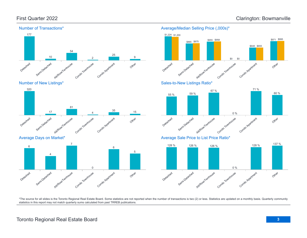\$971 \$995





Average Days on Market\*



#### Detached Semi-Detached Att/Row/Twnhouse Condo Townhouse Condo Apartment Other \$865 \$875 \$0 \$648 \$655 \$0 Sales-to-New Listings Ratio\* Detached Semi-Detached Attliedwitwmouse Condo Townhouse Condo Agatment Other 55 % 59 % 67 % 0 % 71 % 60 % Average Sale Price to List Price Ratio\* 137 %

\$955 \$958

Average/Median Selling Price (,000s)\*

\$1,224 \$1,200



\*The source for all slides is the Toronto Regional Real Estate Board. Some statistics are not reported when the number of transactions is two (2) or less. Statistics are updated on a monthly basis. Quarterly community statistics in this report may not match quarterly sums calculated from past TRREB publications.

## Toronto Regional Real Estate Board **3**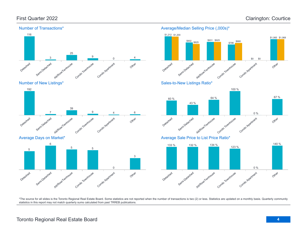

Number of New Listings\*



Average Days on Market\*



### Average/Median Selling Price (,000s)\*



Sales-to-New Listings Ratio\*





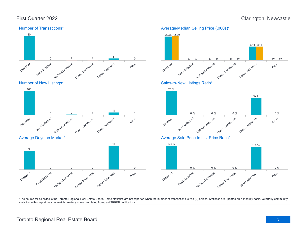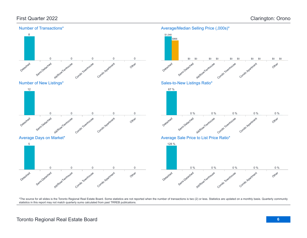